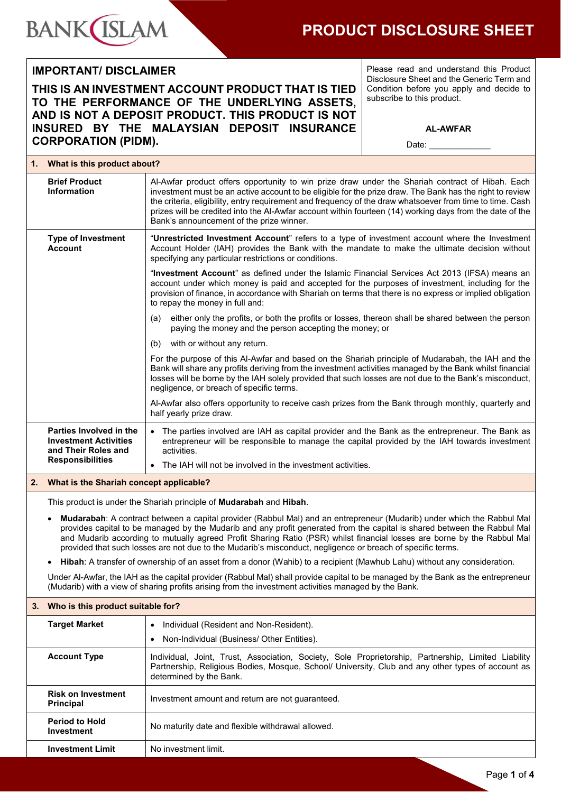

## **PRODUCT DISCLOSURE SHEET**

### **IMPORTANT/ DISCLAIMER**

### **THIS IS AN INVESTMENT ACCOUNT PRODUCT THAT IS TIED TO THE PERFORMANCE OF THE UNDERLYING ASSETS, AND IS NOT A DEPOSIT PRODUCT. THIS PRODUCT IS NOT INSURED BY THE MALAYSIAN DEPOSIT INSURANCE CORPORATION (PIDM).**

Please read and understand this Product Disclosure Sheet and the Generic Term and Condition before you apply and decide to subscribe to this product.

Date:

|    | 1. What is this product about?                                                                                                                                                                                                                                                                                                                                                                                                                                                              |                                                                                                                                                                                                                                                                                                                                                                                                                                                                                  |  |
|----|---------------------------------------------------------------------------------------------------------------------------------------------------------------------------------------------------------------------------------------------------------------------------------------------------------------------------------------------------------------------------------------------------------------------------------------------------------------------------------------------|----------------------------------------------------------------------------------------------------------------------------------------------------------------------------------------------------------------------------------------------------------------------------------------------------------------------------------------------------------------------------------------------------------------------------------------------------------------------------------|--|
|    | <b>Brief Product</b><br><b>Information</b>                                                                                                                                                                                                                                                                                                                                                                                                                                                  | Al-Awfar product offers opportunity to win prize draw under the Shariah contract of Hibah. Each<br>investment must be an active account to be eligible for the prize draw. The Bank has the right to review<br>the criteria, eligibility, entry requirement and frequency of the draw whatsoever from time to time. Cash<br>prizes will be credited into the Al-Awfar account within fourteen (14) working days from the date of the<br>Bank's announcement of the prize winner. |  |
|    | <b>Type of Investment</b><br><b>Account</b>                                                                                                                                                                                                                                                                                                                                                                                                                                                 | "Unrestricted Investment Account" refers to a type of investment account where the Investment<br>Account Holder (IAH) provides the Bank with the mandate to make the ultimate decision without<br>specifying any particular restrictions or conditions.                                                                                                                                                                                                                          |  |
|    |                                                                                                                                                                                                                                                                                                                                                                                                                                                                                             | "Investment Account" as defined under the Islamic Financial Services Act 2013 (IFSA) means an<br>account under which money is paid and accepted for the purposes of investment, including for the<br>provision of finance, in accordance with Shariah on terms that there is no express or implied obligation<br>to repay the money in full and:                                                                                                                                 |  |
|    |                                                                                                                                                                                                                                                                                                                                                                                                                                                                                             | either only the profits, or both the profits or losses, thereon shall be shared between the person<br>(a)<br>paying the money and the person accepting the money; or                                                                                                                                                                                                                                                                                                             |  |
|    |                                                                                                                                                                                                                                                                                                                                                                                                                                                                                             | with or without any return.<br>(b)                                                                                                                                                                                                                                                                                                                                                                                                                                               |  |
|    |                                                                                                                                                                                                                                                                                                                                                                                                                                                                                             | For the purpose of this Al-Awfar and based on the Shariah principle of Mudarabah, the IAH and the<br>Bank will share any profits deriving from the investment activities managed by the Bank whilst financial<br>losses will be borne by the IAH solely provided that such losses are not due to the Bank's misconduct,<br>negligence, or breach of specific terms.                                                                                                              |  |
|    |                                                                                                                                                                                                                                                                                                                                                                                                                                                                                             | Al-Awfar also offers opportunity to receive cash prizes from the Bank through monthly, quarterly and<br>half yearly prize draw.                                                                                                                                                                                                                                                                                                                                                  |  |
|    | Parties Involved in the<br><b>Investment Activities</b><br>and Their Roles and                                                                                                                                                                                                                                                                                                                                                                                                              | • The parties involved are IAH as capital provider and the Bank as the entrepreneur. The Bank as<br>entrepreneur will be responsible to manage the capital provided by the IAH towards investment<br>activities.                                                                                                                                                                                                                                                                 |  |
|    | <b>Responsibilities</b>                                                                                                                                                                                                                                                                                                                                                                                                                                                                     | The IAH will not be involved in the investment activities.<br>$\bullet$                                                                                                                                                                                                                                                                                                                                                                                                          |  |
| 2. | What is the Shariah concept applicable?                                                                                                                                                                                                                                                                                                                                                                                                                                                     |                                                                                                                                                                                                                                                                                                                                                                                                                                                                                  |  |
|    |                                                                                                                                                                                                                                                                                                                                                                                                                                                                                             | This product is under the Shariah principle of Mudarabah and Hibah.                                                                                                                                                                                                                                                                                                                                                                                                              |  |
|    | Mudarabah: A contract between a capital provider (Rabbul Mal) and an entrepreneur (Mudarib) under which the Rabbul Mal<br>provides capital to be managed by the Mudarib and any profit generated from the capital is shared between the Rabbul Mal<br>and Mudarib according to mutually agreed Profit Sharing Ratio (PSR) whilst financial losses are borne by the Rabbul Mal<br>provided that such losses are not due to the Mudarib's misconduct, negligence or breach of specific terms. |                                                                                                                                                                                                                                                                                                                                                                                                                                                                                  |  |
|    | Hibah: A transfer of ownership of an asset from a donor (Wahib) to a recipient (Mawhub Lahu) without any consideration.<br>$\bullet$                                                                                                                                                                                                                                                                                                                                                        |                                                                                                                                                                                                                                                                                                                                                                                                                                                                                  |  |
|    | Under Al-Awfar, the IAH as the capital provider (Rabbul Mal) shall provide capital to be managed by the Bank as the entrepreneur<br>(Mudarib) with a view of sharing profits arising from the investment activities managed by the Bank.                                                                                                                                                                                                                                                    |                                                                                                                                                                                                                                                                                                                                                                                                                                                                                  |  |
| 3. | Who is this product suitable for?                                                                                                                                                                                                                                                                                                                                                                                                                                                           |                                                                                                                                                                                                                                                                                                                                                                                                                                                                                  |  |
|    | <b>Target Market</b>                                                                                                                                                                                                                                                                                                                                                                                                                                                                        | Individual (Resident and Non-Resident).                                                                                                                                                                                                                                                                                                                                                                                                                                          |  |
|    |                                                                                                                                                                                                                                                                                                                                                                                                                                                                                             | Non-Individual (Business/ Other Entities).<br>$\bullet$                                                                                                                                                                                                                                                                                                                                                                                                                          |  |
|    | <b>Account Type</b>                                                                                                                                                                                                                                                                                                                                                                                                                                                                         | Individual, Joint, Trust, Association, Society, Sole Proprietorship, Partnership, Limited Liability<br>Partnership, Religious Bodies, Mosque, School/ University, Club and any other types of account as<br>determined by the Bank.                                                                                                                                                                                                                                              |  |
|    | <b>Risk on Investment</b><br><b>Principal</b>                                                                                                                                                                                                                                                                                                                                                                                                                                               | Investment amount and return are not guaranteed.                                                                                                                                                                                                                                                                                                                                                                                                                                 |  |
|    | <b>Period to Hold</b><br>No maturity date and flexible withdrawal allowed.<br><b>Investment</b>                                                                                                                                                                                                                                                                                                                                                                                             |                                                                                                                                                                                                                                                                                                                                                                                                                                                                                  |  |
|    | <b>Investment Limit</b>                                                                                                                                                                                                                                                                                                                                                                                                                                                                     | No investment limit.                                                                                                                                                                                                                                                                                                                                                                                                                                                             |  |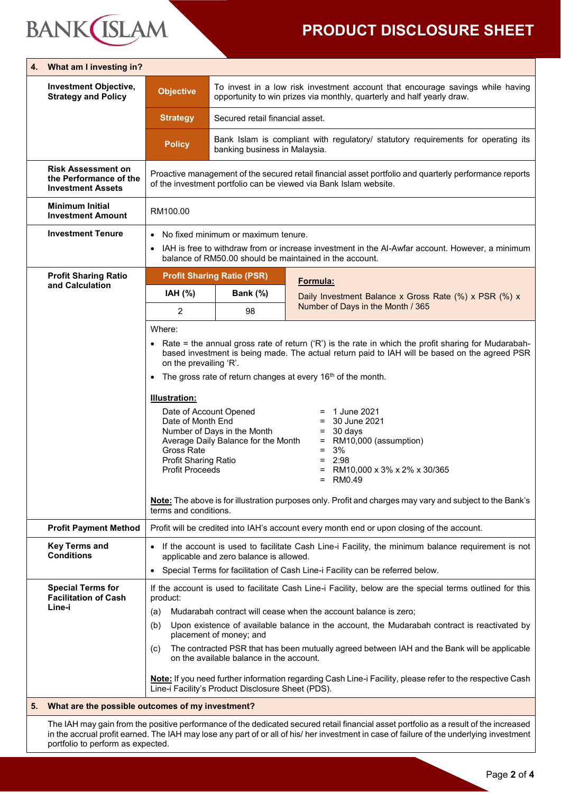# **BANK**(ISLAM

# **PRODUCT DISCLOSURE SHEET**

| 4. | What am I investing in?                                                                                                                                                       |                                                                                                                                                                                                                                   |                                                                                                                                                                                                                                                                                                            |                                                                          |  |
|----|-------------------------------------------------------------------------------------------------------------------------------------------------------------------------------|-----------------------------------------------------------------------------------------------------------------------------------------------------------------------------------------------------------------------------------|------------------------------------------------------------------------------------------------------------------------------------------------------------------------------------------------------------------------------------------------------------------------------------------------------------|--------------------------------------------------------------------------|--|
|    | <b>Investment Objective,</b><br><b>Strategy and Policy</b>                                                                                                                    | <b>Objective</b>                                                                                                                                                                                                                  | To invest in a low risk investment account that encourage savings while having<br>opportunity to win prizes via monthly, quarterly and half yearly draw.                                                                                                                                                   |                                                                          |  |
|    |                                                                                                                                                                               | <b>Strategy</b>                                                                                                                                                                                                                   | Secured retail financial asset.                                                                                                                                                                                                                                                                            |                                                                          |  |
|    |                                                                                                                                                                               | <b>Policy</b>                                                                                                                                                                                                                     | Bank Islam is compliant with regulatory/ statutory requirements for operating its<br>banking business in Malaysia.                                                                                                                                                                                         |                                                                          |  |
|    | <b>Risk Assessment on</b><br>the Performance of the<br><b>Investment Assets</b>                                                                                               | Proactive management of the secured retail financial asset portfolio and quarterly performance reports<br>of the investment portfolio can be viewed via Bank Islam website.                                                       |                                                                                                                                                                                                                                                                                                            |                                                                          |  |
|    | <b>Minimum Initial</b><br><b>Investment Amount</b>                                                                                                                            | RM100.00                                                                                                                                                                                                                          |                                                                                                                                                                                                                                                                                                            |                                                                          |  |
|    | <b>Investment Tenure</b>                                                                                                                                                      | $\bullet$                                                                                                                                                                                                                         | No fixed minimum or maximum tenure.                                                                                                                                                                                                                                                                        |                                                                          |  |
|    |                                                                                                                                                                               | IAH is free to withdraw from or increase investment in the AI-Awfar account. However, a minimum<br>balance of RM50.00 should be maintained in the account.                                                                        |                                                                                                                                                                                                                                                                                                            |                                                                          |  |
|    | <b>Profit Sharing Ratio</b>                                                                                                                                                   |                                                                                                                                                                                                                                   | <b>Profit Sharing Ratio (PSR)</b>                                                                                                                                                                                                                                                                          | Formula:                                                                 |  |
|    | and Calculation                                                                                                                                                               | IAH (%)                                                                                                                                                                                                                           | Bank (%)                                                                                                                                                                                                                                                                                                   | Daily Investment Balance x Gross Rate (%) x PSR (%) x                    |  |
|    |                                                                                                                                                                               | 2                                                                                                                                                                                                                                 | 98                                                                                                                                                                                                                                                                                                         | Number of Days in the Month / 365                                        |  |
|    |                                                                                                                                                                               | Where:                                                                                                                                                                                                                            |                                                                                                                                                                                                                                                                                                            |                                                                          |  |
|    |                                                                                                                                                                               | • Rate = the annual gross rate of return $(P')$ is the rate in which the profit sharing for Mudarabah-<br>based investment is being made. The actual return paid to IAH will be based on the agreed PSR<br>on the prevailing 'R'. |                                                                                                                                                                                                                                                                                                            |                                                                          |  |
|    |                                                                                                                                                                               | $\bullet$                                                                                                                                                                                                                         |                                                                                                                                                                                                                                                                                                            | The gross rate of return changes at every 16 <sup>th</sup> of the month. |  |
|    |                                                                                                                                                                               | <b>Illustration:</b>                                                                                                                                                                                                              |                                                                                                                                                                                                                                                                                                            |                                                                          |  |
|    |                                                                                                                                                                               | Date of Account Opened                                                                                                                                                                                                            |                                                                                                                                                                                                                                                                                                            | 1 June 2021                                                              |  |
|    |                                                                                                                                                                               |                                                                                                                                                                                                                                   | Date of Month End<br>30 June 2021<br>Ξ<br>Number of Days in the Month<br>30 days<br>$=$                                                                                                                                                                                                                    |                                                                          |  |
|    |                                                                                                                                                                               | Gross Rate                                                                                                                                                                                                                        | Average Daily Balance for the Month<br>RM10,000 (assumption)<br>$\equiv$                                                                                                                                                                                                                                   |                                                                          |  |
|    |                                                                                                                                                                               | Profit Sharing Ratio                                                                                                                                                                                                              | 3%<br>$=$<br>2:98<br>$=$                                                                                                                                                                                                                                                                                   |                                                                          |  |
|    |                                                                                                                                                                               | <b>Profit Proceeds</b>                                                                                                                                                                                                            |                                                                                                                                                                                                                                                                                                            | RM10,000 x 3% x 2% x 30/365<br>$=$<br>= RM0.49                           |  |
|    |                                                                                                                                                                               | terms and conditions.                                                                                                                                                                                                             | Note: The above is for illustration purposes only. Profit and charges may vary and subject to the Bank's                                                                                                                                                                                                   |                                                                          |  |
|    | <b>Profit Payment Method</b>                                                                                                                                                  |                                                                                                                                                                                                                                   | Profit will be credited into IAH's account every month end or upon closing of the account.                                                                                                                                                                                                                 |                                                                          |  |
|    | <b>Key Terms and</b><br><b>Conditions</b>                                                                                                                                     | If the account is used to facilitate Cash Line-i Facility, the minimum balance requirement is not<br>$\bullet$<br>applicable and zero balance is allowed.                                                                         |                                                                                                                                                                                                                                                                                                            |                                                                          |  |
|    |                                                                                                                                                                               | $\bullet$                                                                                                                                                                                                                         | Special Terms for facilitation of Cash Line-i Facility can be referred below.                                                                                                                                                                                                                              |                                                                          |  |
|    | <b>Special Terms for</b><br><b>Facilitation of Cash</b><br>Line-i                                                                                                             | product:                                                                                                                                                                                                                          | If the account is used to facilitate Cash Line-i Facility, below are the special terms outlined for this                                                                                                                                                                                                   |                                                                          |  |
|    |                                                                                                                                                                               | Mudarabah contract will cease when the account balance is zero;<br>(a)                                                                                                                                                            |                                                                                                                                                                                                                                                                                                            |                                                                          |  |
|    |                                                                                                                                                                               | Upon existence of available balance in the account, the Mudarabah contract is reactivated by<br>(b)<br>placement of money; and                                                                                                    |                                                                                                                                                                                                                                                                                                            |                                                                          |  |
|    |                                                                                                                                                                               | (c)                                                                                                                                                                                                                               | The contracted PSR that has been mutually agreed between IAH and the Bank will be applicable<br>on the available balance in the account.<br>Note: If you need further information regarding Cash Line-i Facility, please refer to the respective Cash<br>Line-i Facility's Product Disclosure Sheet (PDS). |                                                                          |  |
|    |                                                                                                                                                                               |                                                                                                                                                                                                                                   |                                                                                                                                                                                                                                                                                                            |                                                                          |  |
| 5. |                                                                                                                                                                               | What are the possible outcomes of my investment?                                                                                                                                                                                  |                                                                                                                                                                                                                                                                                                            |                                                                          |  |
|    | The IAH may gain from the positive performance of the dedicated secured retail financial asset portfolio as a result of the increased                                         |                                                                                                                                                                                                                                   |                                                                                                                                                                                                                                                                                                            |                                                                          |  |
|    | in the accrual profit earned. The IAH may lose any part of or all of his/ her investment in case of failure of the underlying investment<br>portfolio to perform as expected. |                                                                                                                                                                                                                                   |                                                                                                                                                                                                                                                                                                            |                                                                          |  |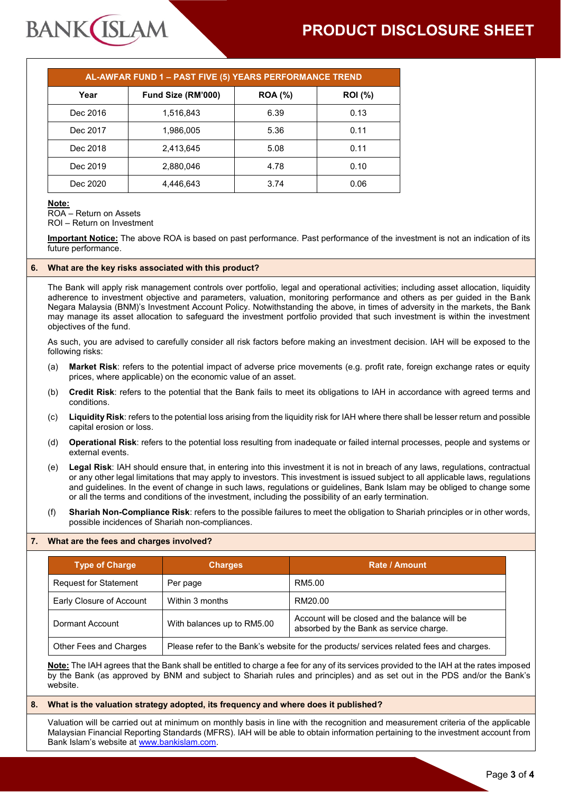# **PRODUCT DISCLOSURE SHEET**

| AL-AWFAR FUND 1 - PAST FIVE (5) YEARS PERFORMANCE TREND |                    |                |                |  |  |
|---------------------------------------------------------|--------------------|----------------|----------------|--|--|
| Year                                                    | Fund Size (RM'000) | <b>ROA</b> (%) | <b>ROI</b> (%) |  |  |
| Dec 2016                                                | 1,516,843          | 6.39           | 0.13           |  |  |
| Dec 2017                                                | 1,986,005          | 5.36           | 0.11           |  |  |
| Dec 2018                                                | 2,413,645          | 5.08           | 0.11           |  |  |
| Dec 2019                                                | 2,880,046          | 4.78           | 0.10           |  |  |
| Dec 2020                                                | 4.446.643          | 3.74           | 0.06           |  |  |

#### **Note:**

ROA – Return on Assets ROI – Return on Investment

**BANK ISLAM** 

**Important Notice:** The above ROA is based on past performance. Past performance of the investment is not an indication of its future performance.

#### **6. What are the key risks associated with this product?**

The Bank will apply risk management controls over portfolio, legal and operational activities; including asset allocation, liquidity adherence to investment objective and parameters, valuation, monitoring performance and others as per guided in the Bank Negara Malaysia (BNM)'s Investment Account Policy. Notwithstanding the above, in times of adversity in the markets, the Bank may manage its asset allocation to safeguard the investment portfolio provided that such investment is within the investment objectives of the fund.

As such, you are advised to carefully consider all risk factors before making an investment decision. IAH will be exposed to the following risks:

- (a) **Market Risk**: refers to the potential impact of adverse price movements (e.g. profit rate, foreign exchange rates or equity prices, where applicable) on the economic value of an asset.
- (b) **Credit Risk**: refers to the potential that the Bank fails to meet its obligations to IAH in accordance with agreed terms and conditions.
- (c) **Liquidity Risk**: refers to the potential loss arising from the liquidity risk for IAH where there shall be lesser return and possible capital erosion or loss.
- (d) **Operational Risk**: refers to the potential loss resulting from inadequate or failed internal processes, people and systems or external events.
- (e) **Legal Risk**: IAH should ensure that, in entering into this investment it is not in breach of any laws, regulations, contractual or any other legal limitations that may apply to investors. This investment is issued subject to all applicable laws, regulations and guidelines. In the event of change in such laws, regulations or guidelines, Bank Islam may be obliged to change some or all the terms and conditions of the investment, including the possibility of an early termination.
- (f) **Shariah Non-Compliance Risk**: refers to the possible failures to meet the obligation to Shariah principles or in other words, possible incidences of Shariah non-compliances.

#### **7. What are the fees and charges involved?**

| <b>Type of Charge</b>        | <b>Charges</b>                                                                          | <b>Rate / Amount</b>                                                                      |
|------------------------------|-----------------------------------------------------------------------------------------|-------------------------------------------------------------------------------------------|
| <b>Request for Statement</b> | Per page                                                                                | RM5.00                                                                                    |
| Early Closure of Account     | Within 3 months                                                                         | RM20.00                                                                                   |
| Dormant Account              | With balances up to RM5.00                                                              | Account will be closed and the balance will be<br>absorbed by the Bank as service charge. |
| Other Fees and Charges       | Please refer to the Bank's website for the products/ services related fees and charges. |                                                                                           |

**Note:** The IAH agrees that the Bank shall be entitled to charge a fee for any of its services provided to the IAH at the rates imposed by the Bank (as approved by BNM and subject to Shariah rules and principles) and as set out in the PDS and/or the Bank's website.

#### **8. What is the valuation strategy adopted, its frequency and where does it published?**

Valuation will be carried out at minimum on monthly basis in line with the recognition and measurement criteria of the applicable Malaysian Financial Reporting Standards (MFRS). IAH will be able to obtain information pertaining to the investment account from Bank Islam's website at [www.bankislam.com.](http://www.bankislam.com/)